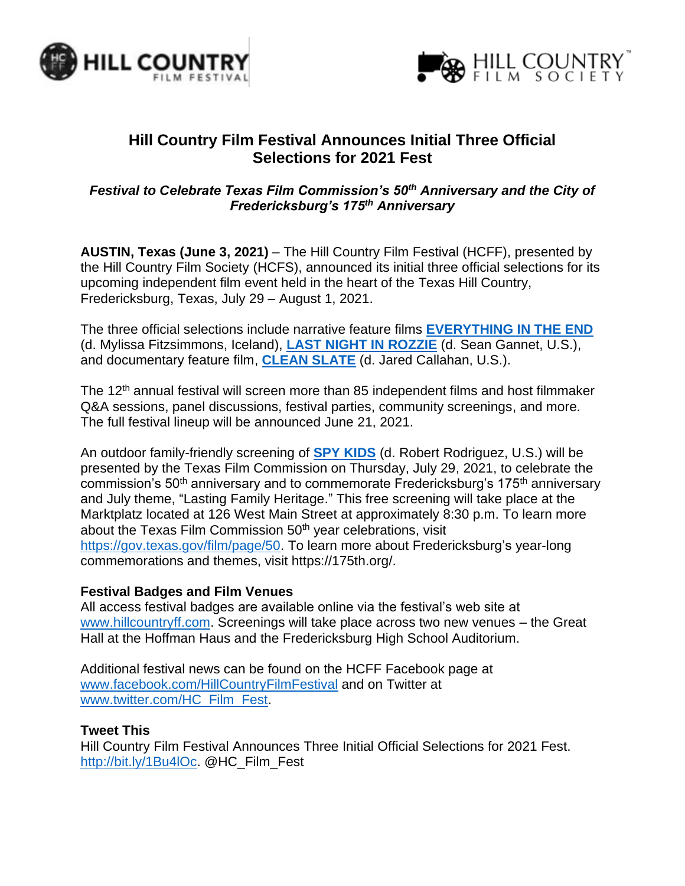



# **Hill Country Film Festival Announces Initial Three Official Selections for 2021 Fest**

## *Festival to Celebrate Texas Film Commission's 50th Anniversary and the City of Fredericksburg's 175th Anniversary*

**AUSTIN, Texas (June 3, 2021)** – The Hill Country Film Festival (HCFF), presented by the Hill Country Film Society (HCFS), announced its initial three official selections for its upcoming independent film event held in the heart of the Texas Hill Country, Fredericksburg, Texas, July 29 – August 1, 2021.

The three official selections include narrative feature films **[EVERYTHING IN THE END](https://www.imdb.com/title/tt11131918/reference)** (d. Mylissa Fitzsimmons, Iceland), **[LAST NIGHT IN ROZZIE](https://www.imdb.com/title/tt9363502/reference)** (d. Sean Gannet, U.S.), and documentary feature film, **[CLEAN SLATE](https://www.imdb.com/title/tt7116882/reference)** (d. Jared Callahan, U.S.).

The 12<sup>th</sup> annual festival will screen more than 85 independent films and host filmmaker Q&A sessions, panel discussions, festival parties, community screenings, and more. The full festival lineup will be announced June 21, 2021.

An outdoor family-friendly screening of **[SPY KIDS](https://www.imdb.com/title/tt0227538/)** (d. Robert Rodriguez, U.S.) will be presented by the Texas Film Commission on Thursday, July 29, 2021, to celebrate the commission's 50<sup>th</sup> anniversary and to commemorate Fredericksburg's 175<sup>th</sup> anniversary and July theme, "Lasting Family Heritage." This free screening will take place at the Marktplatz located at 126 West Main Street at approximately 8:30 p.m. To learn more about the Texas Film Commission 50<sup>th</sup> year celebrations, visit [https://gov.texas.gov/film/page/50.](https://gov.texas.gov/film/page/50) To learn more about Fredericksburg's year-long commemorations and themes, visit https://175th.org/.

#### **Festival Badges and Film Venues**

All access festival badges are available online via the festival's web site at [www.hillcountryff.com.](http://www.hillcountryff.com/) Screenings will take place across two new venues – the Great Hall at the Hoffman Haus and the Fredericksburg High School Auditorium.

Additional festival news can be found on the HCFF Facebook page at [www.facebook.com/HillCountryFilmFestival](http://www.facebook.com/HillCountryFilmFestival) and on Twitter at [www.twitter.com/HC\\_Film\\_Fest.](http://www.twitter.com/HC_Film_Fest)

## **Tweet This**

Hill Country Film Festival Announces Three Initial Official Selections for 2021 Fest. [http://bit.ly/1Bu4lOc.](http://bit.ly/1Bu4lOc) @HC\_Film\_Fest